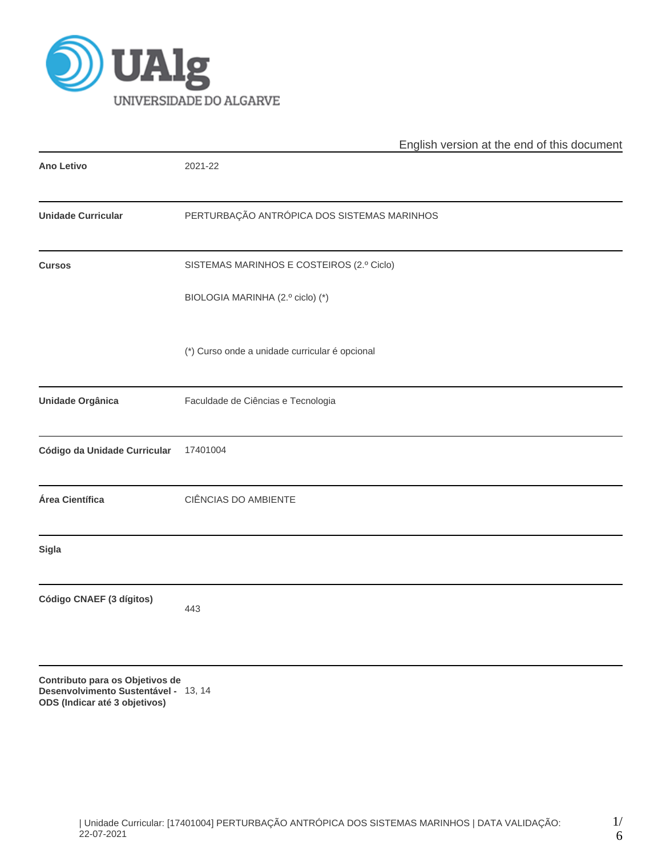

|                                                                                                          | English version at the end of this document    |  |  |  |  |  |  |
|----------------------------------------------------------------------------------------------------------|------------------------------------------------|--|--|--|--|--|--|
| <b>Ano Letivo</b>                                                                                        | 2021-22                                        |  |  |  |  |  |  |
| <b>Unidade Curricular</b>                                                                                | PERTURBAÇÃO ANTRÓPICA DOS SISTEMAS MARINHOS    |  |  |  |  |  |  |
| <b>Cursos</b>                                                                                            | SISTEMAS MARINHOS E COSTEIROS (2.º Ciclo)      |  |  |  |  |  |  |
|                                                                                                          | BIOLOGIA MARINHA (2.º ciclo) (*)               |  |  |  |  |  |  |
|                                                                                                          | (*) Curso onde a unidade curricular é opcional |  |  |  |  |  |  |
| Unidade Orgânica                                                                                         | Faculdade de Ciências e Tecnologia             |  |  |  |  |  |  |
| Código da Unidade Curricular                                                                             | 17401004                                       |  |  |  |  |  |  |
| Área Científica                                                                                          | CIÊNCIAS DO AMBIENTE                           |  |  |  |  |  |  |
| <b>Sigla</b>                                                                                             |                                                |  |  |  |  |  |  |
| Código CNAEF (3 dígitos)                                                                                 | 443                                            |  |  |  |  |  |  |
| Contributo para os Objetivos de<br>Desenvolvimento Sustentável - 13, 14<br>ODS (Indicar até 3 objetivos) |                                                |  |  |  |  |  |  |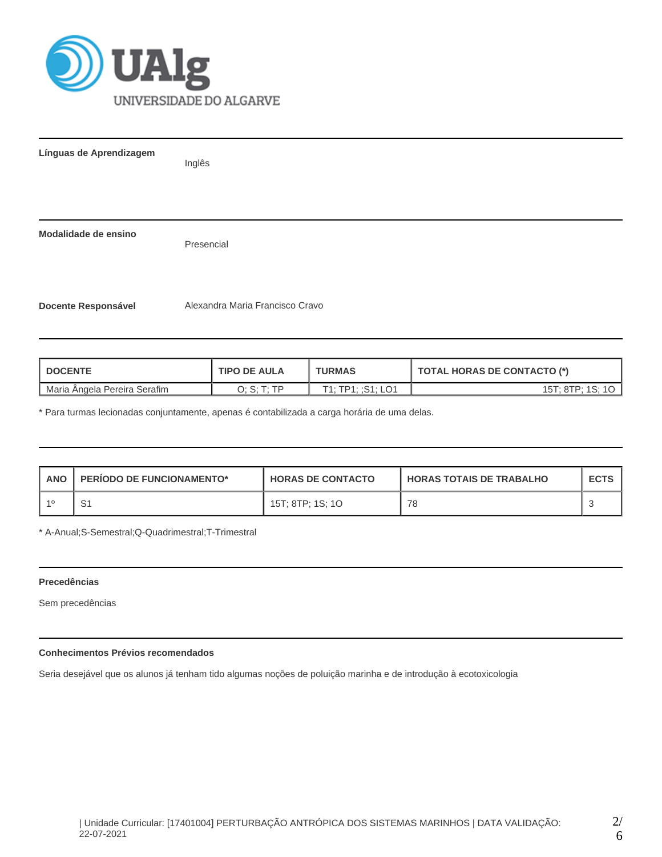

| Línguas de Aprendizagem    | Inglês                          |
|----------------------------|---------------------------------|
| Modalidade de ensino       | Presencial                      |
| <b>Docente Responsável</b> | Alexandra Maria Francisco Cravo |

| <b>TIPO DE AULA</b><br><b>I DOCENTE</b> |               | <b>TURMAS</b>     | <b>TOTAL HORAS DE CONTACTO (*)</b> |  |  |
|-----------------------------------------|---------------|-------------------|------------------------------------|--|--|
| Maria Angela Pereira Serafim            | חד ה- ס<br>U. | T1: TP1: :S1: LO1 | 15T: 8TP: 1S:                      |  |  |

\* Para turmas lecionadas conjuntamente, apenas é contabilizada a carga horária de uma delas.

| <b>ANO</b> | <b>PERIODO DE FUNCIONAMENTO*</b> | <b>HORAS DE CONTACTO</b> | <b>HORAS TOTAIS DE TRABALHO</b> | <b>ECTS</b> |
|------------|----------------------------------|--------------------------|---------------------------------|-------------|
| -10        | ا ب                              | 15T; 8TP; 1S; 1O         | 78                              |             |

\* A-Anual;S-Semestral;Q-Quadrimestral;T-Trimestral

# **Precedências**

Sem precedências

# **Conhecimentos Prévios recomendados**

Seria desejável que os alunos já tenham tido algumas noções de poluição marinha e de introdução à ecotoxicologia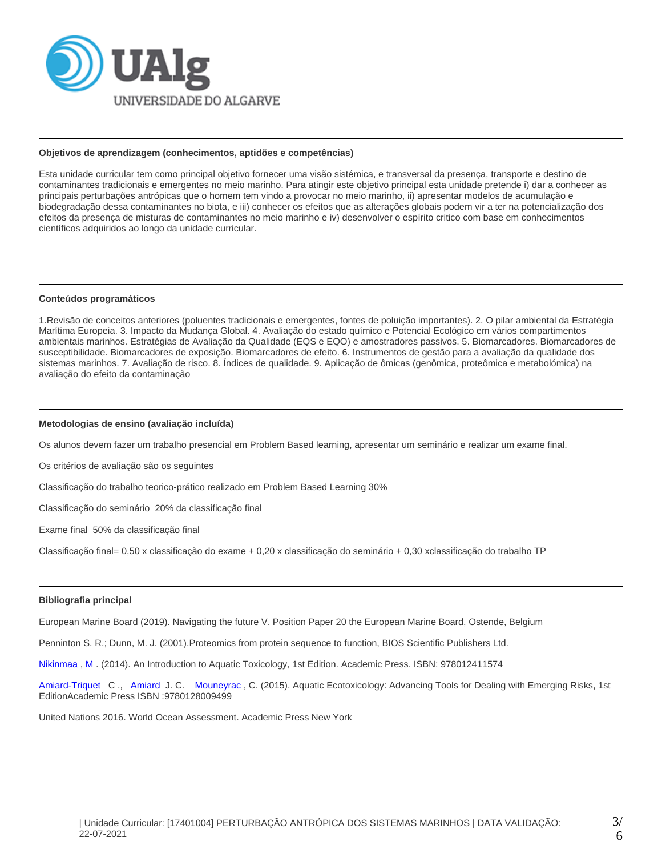

#### **Objetivos de aprendizagem (conhecimentos, aptidões e competências)**

Esta unidade curricular tem como principal objetivo fornecer uma visão sistémica, e transversal da presença, transporte e destino de contaminantes tradicionais e emergentes no meio marinho. Para atingir este objetivo principal esta unidade pretende i) dar a conhecer as principais perturbações antrópicas que o homem tem vindo a provocar no meio marinho, ii) apresentar modelos de acumulação e biodegradação dessa contaminantes no biota, e iii) conhecer os efeitos que as alterações globais podem vir a ter na potencialização dos efeitos da presença de misturas de contaminantes no meio marinho e iv) desenvolver o espírito critico com base em conhecimentos científicos adquiridos ao longo da unidade curricular.

#### **Conteúdos programáticos**

1.Revisão de conceitos anteriores (poluentes tradicionais e emergentes, fontes de poluição importantes). 2. O pilar ambiental da Estratégia Marítima Europeia. 3. Impacto da Mudança Global. 4. Avaliação do estado químico e Potencial Ecológico em vários compartimentos ambientais marinhos. Estratégias de Avaliação da Qualidade (EQS e EQO) e amostradores passivos. 5. Biomarcadores. Biomarcadores de susceptibilidade. Biomarcadores de exposição. Biomarcadores de efeito. 6. Instrumentos de gestão para a avaliação da qualidade dos sistemas marinhos. 7. Avaliação de risco. 8. Índices de qualidade. 9. Aplicação de ômicas (genômica, proteômica e metabolómica) na avaliação do efeito da contaminação

## **Metodologias de ensino (avaliação incluída)**

Os alunos devem fazer um trabalho presencial em Problem Based learning, apresentar um seminário e realizar um exame final.

Os critérios de avaliação são os seguintes

Classificação do trabalho teorico-prático realizado em Problem Based Learning 30%

Classificação do seminário 20% da classificação final

Exame final 50% da classificação final

Classificação final= 0,50 x classificação do exame + 0,20 x classificação do seminário + 0,30 xclassificação do trabalho TP

#### **Bibliografia principal**

European Marine Board (2019). Navigating the future V. Position Paper 20 the European Marine Board, Ostende, Belgium

Penninton S. R.; Dunn, M. J. (2001).Proteomics from protein sequence to function, BIOS Scientific Publishers Ltd.

Nikinmaa, [M](http://store.elsevier.com/authorDetails.jsp?authorId=ELS_1112280). (2014). An Introduction to Aquatic Toxicology, 1st Edition. Academic Press. ISBN: 978012411574

[Amiard-Triquet](http://store.elsevier.com/authorDetails.jsp?authorId=ELS_1168987) C., [Amiard](http://store.elsevier.com/authorDetails.jsp?authorId=ELS_1171893) J. C. [Mouneyrac](http://store.elsevier.com/authorDetails.jsp?authorId=ELS_1171894), C. (2015). Aquatic Ecotoxicology: Advancing Tools for Dealing with Emerging Risks, 1st EditionAcademic Press ISBN :9780128009499

United Nations 2016. World Ocean Assessment. Academic Press New York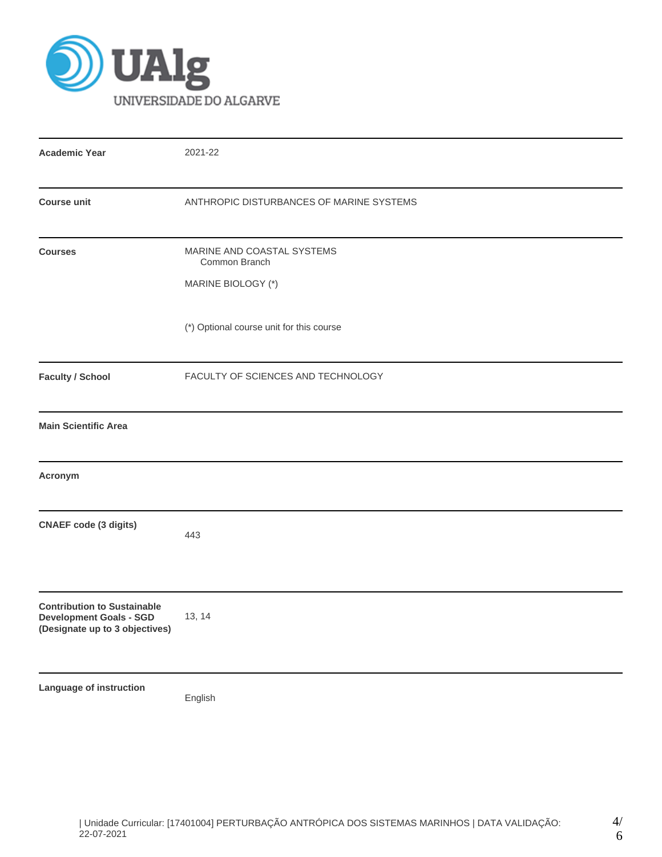

| <b>Academic Year</b>                                                                                   | 2021-22                                                           |  |  |  |  |
|--------------------------------------------------------------------------------------------------------|-------------------------------------------------------------------|--|--|--|--|
| <b>Course unit</b>                                                                                     | ANTHROPIC DISTURBANCES OF MARINE SYSTEMS                          |  |  |  |  |
| <b>Courses</b>                                                                                         | MARINE AND COASTAL SYSTEMS<br>Common Branch<br>MARINE BIOLOGY (*) |  |  |  |  |
|                                                                                                        | (*) Optional course unit for this course                          |  |  |  |  |
| <b>Faculty / School</b>                                                                                | FACULTY OF SCIENCES AND TECHNOLOGY                                |  |  |  |  |
| <b>Main Scientific Area</b>                                                                            |                                                                   |  |  |  |  |
| Acronym                                                                                                |                                                                   |  |  |  |  |
| <b>CNAEF</b> code (3 digits)                                                                           | 443                                                               |  |  |  |  |
| <b>Contribution to Sustainable</b><br><b>Development Goals - SGD</b><br>(Designate up to 3 objectives) | 13, 14                                                            |  |  |  |  |
| Language of instruction                                                                                | English                                                           |  |  |  |  |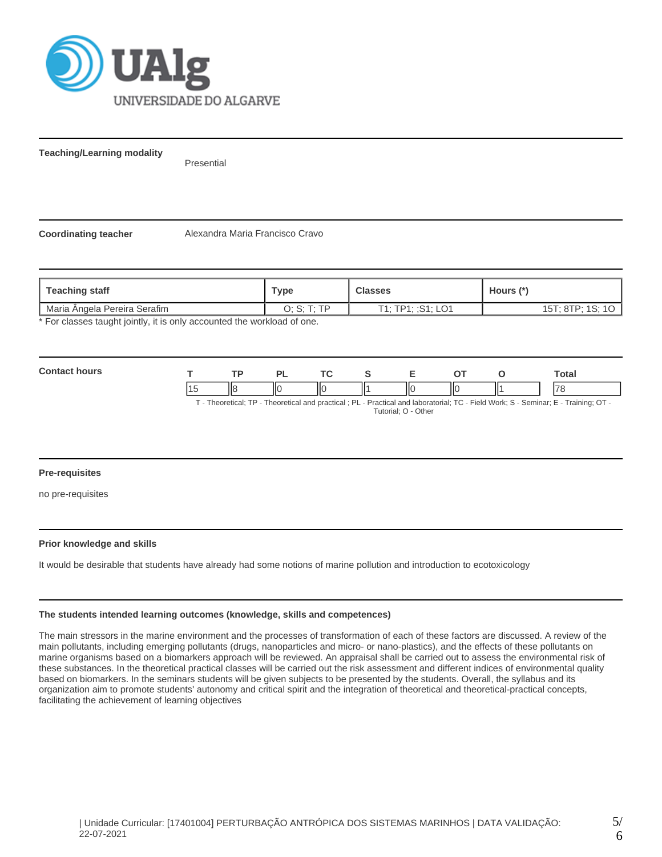

**Teaching/Learning modality**

Presential

**Coordinating teacher** Alexandra Maria Francisco Cravo

| Teaching staff                                                                                        | Туре    | <b>Classes</b>    | Hours (*)                       |
|-------------------------------------------------------------------------------------------------------|---------|-------------------|---------------------------------|
|                                                                                                       | חד ה- ס | T1: TP1: :S1: LO1 | $15T$ $8TP$ $1S$ $1O$<br>. I O. |
| Maria Ângela Pereira Serafim<br>* Ear algonne tought jointly it is only accounted the werkload of ane |         |                   |                                 |

For classes taught jointly, it is only accounted the workload of one.

| Com<br> |                 | ŦБ | וכי | $\tau$  |   | -- | Гоtal                    |
|---------|-----------------|----|-----|---------|---|----|--------------------------|
|         | 14 <sup>r</sup> | Ш٤ | Ш   | Ш<br>IЮ | Ш | ΙЮ | $\overline{\phantom{a}}$ |

T - Theoretical; TP - Theoretical and practical ; PL - Practical and laboratorial; TC - Field Work; S - Seminar; E - Training; OT - Tutorial; O - Other

## **Pre-requisites**

no pre-requisites

## **Prior knowledge and skills**

It would be desirable that students have already had some notions of marine pollution and introduction to ecotoxicology

#### **The students intended learning outcomes (knowledge, skills and competences)**

The main stressors in the marine environment and the processes of transformation of each of these factors are discussed. A review of the main pollutants, including emerging pollutants (drugs, nanoparticles and micro- or nano-plastics), and the effects of these pollutants on marine organisms based on a biomarkers approach will be reviewed. An appraisal shall be carried out to assess the environmental risk of these substances. In the theoretical practical classes will be carried out the risk assessment and different indices of environmental quality based on biomarkers. In the seminars students will be given subjects to be presented by the students. Overall, the syllabus and its organization aim to promote students' autonomy and critical spirit and the integration of theoretical and theoretical-practical concepts, facilitating the achievement of learning objectives